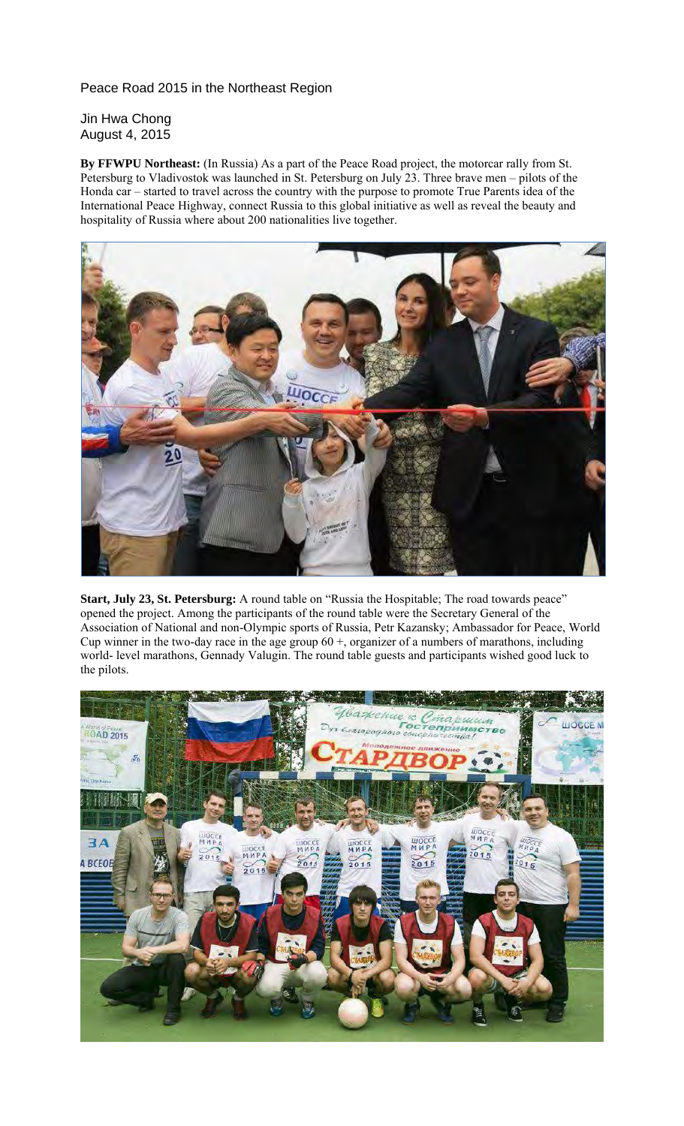Peace Road 2015 in the Northeast Region

Jin Hwa Chong August 4, 2015

**By FFWPU Northeast:** (In Russia) As a part of the Peace Road project, the motorcar rally from St. Petersburg to Vladivostok was launched in St. Petersburg on July 23. Three brave men – pilots of the Honda car – started to travel across the country with the purpose to promote True Parents idea of the International Peace Highway, connect Russia to this global initiative as well as reveal the beauty and hospitality of Russia where about 200 nationalities live together.



**Start, July 23, St. Petersburg:** A round table on "Russia the Hospitable; The road towards peace" opened the project. Among the participants of the round table were the Secretary General of the Association of National and non-Olympic sports of Russia, Petr Kazansky; Ambassador for Peace, World Cup winner in the two-day race in the age group  $60 +$ , organizer of a numbers of marathons, including world- level marathons, Gennady Valugin. The round table guests and participants wished good luck to the pilots.

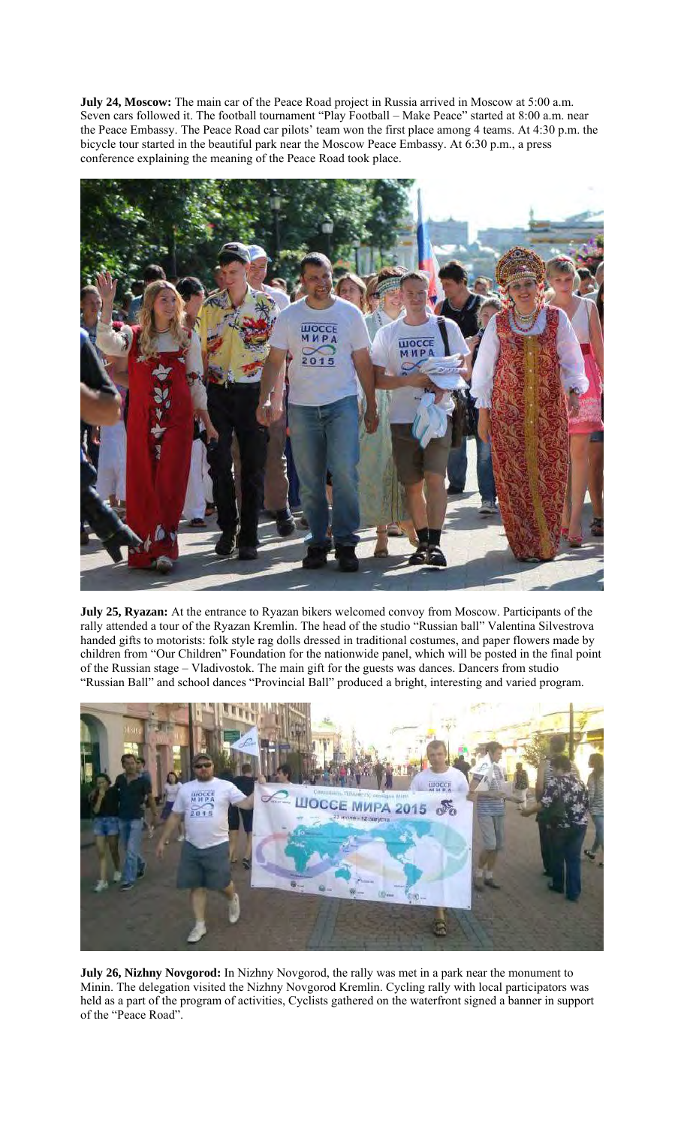**July 24, Moscow:** The main car of the Peace Road project in Russia arrived in Moscow at 5:00 a.m. Seven cars followed it. The football tournament "Play Football – Make Peace" started at 8:00 a.m. near the Peace Embassy. The Peace Road car pilots' team won the first place among 4 teams. At 4:30 p.m. the bicycle tour started in the beautiful park near the Moscow Peace Embassy. At 6:30 p.m., a press conference explaining the meaning of the Peace Road took place.



**July 25, Ryazan:** At the entrance to Ryazan bikers welcomed convoy from Moscow. Participants of the rally attended a tour of the Ryazan Kremlin. The head of the studio "Russian ball" Valentina Silvestrova handed gifts to motorists: folk style rag dolls dressed in traditional costumes, and paper flowers made by children from "Our Children" Foundation for the nationwide panel, which will be posted in the final point of the Russian stage – Vladivostok. The main gift for the guests was dances. Dancers from studio "Russian Ball" and school dances "Provincial Ball" produced a bright, interesting and varied program.



**July 26, Nizhny Novgorod:** In Nizhny Novgorod, the rally was met in a park near the monument to Minin. The delegation visited the Nizhny Novgorod Kremlin. Cycling rally with local participators was held as a part of the program of activities, Cyclists gathered on the waterfront signed a banner in support of the "Peace Road".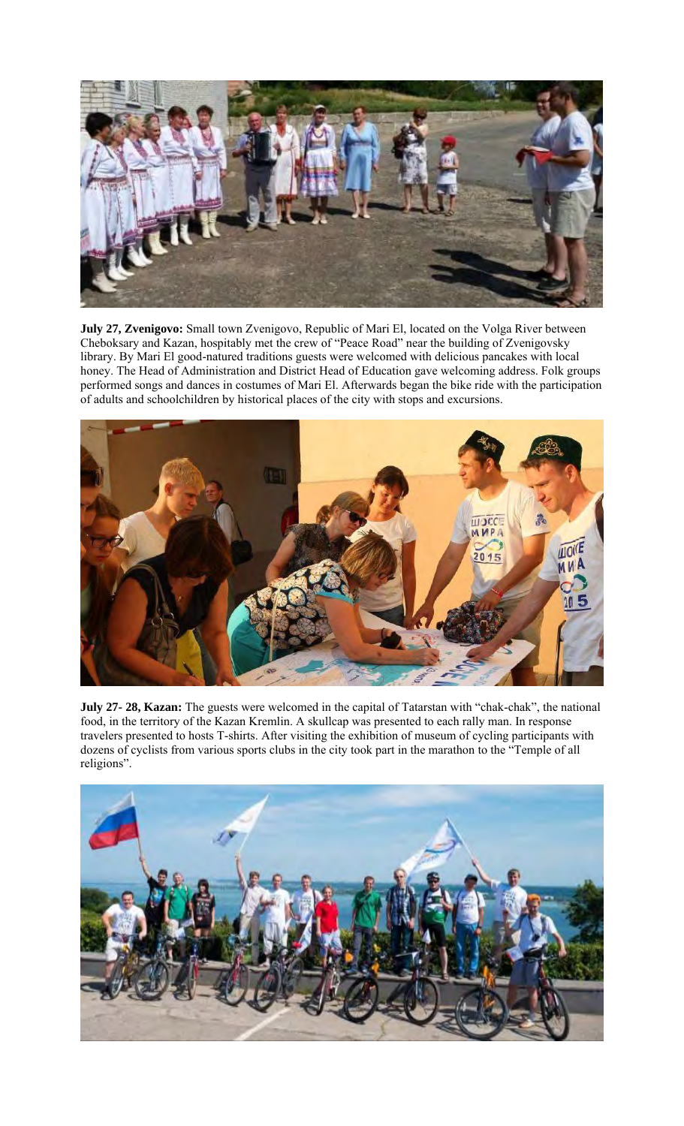

**July 27, Zvenigovo:** Small town Zvenigovo, Republic of Mari El, located on the Volga River between Cheboksary and Kazan, hospitably met the crew of "Peace Road" near the building of Zvenigovsky library. By Mari El good-natured traditions guests were welcomed with delicious pancakes with local honey. The Head of Administration and District Head of Education gave welcoming address. Folk groups performed songs and dances in costumes of Mari El. Afterwards began the bike ride with the participation of adults and schoolchildren by historical places of the city with stops and excursions.



**July 27- 28, Kazan:** The guests were welcomed in the capital of Tatarstan with "chak-chak", the national food, in the territory of the Kazan Kremlin. A skullcap was presented to each rally man. In response travelers presented to hosts T-shirts. After visiting the exhibition of museum of cycling participants with dozens of cyclists from various sports clubs in the city took part in the marathon to the "Temple of all religions".

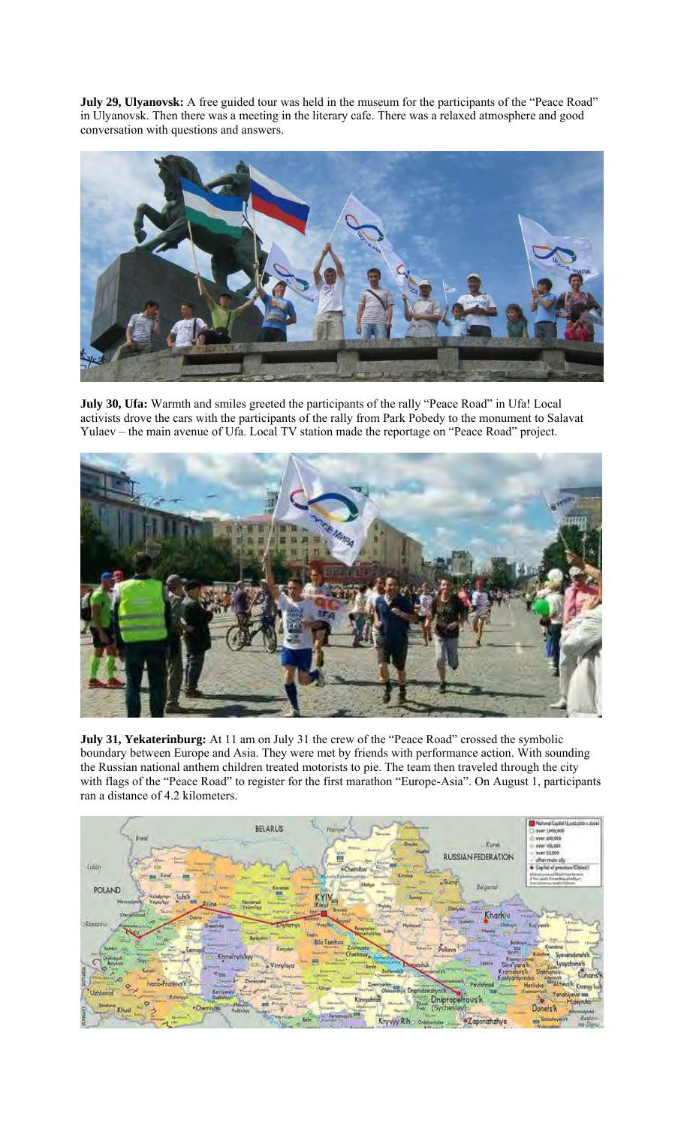**July 29, Ulyanovsk:** A free guided tour was held in the museum for the participants of the "Peace Road" in Ulyanovsk. Then there was a meeting in the literary cafe. There was a relaxed atmosphere and good conversation with questions and answers.



**July 30, Ufa:** Warmth and smiles greeted the participants of the rally "Peace Road" in Ufa! Local activists drove the cars with the participants of the rally from Park Pobedy to the monument to Salavat Yulaev – the main avenue of Ufa. Local TV station made the reportage on "Peace Road" project.



**July 31, Yekaterinburg:** At 11 am on July 31 the crew of the "Peace Road" crossed the symbolic boundary between Europe and Asia. They were met by friends with performance action. With sounding the Russian national anthem children treated motorists to pie. The team then traveled through the city with flags of the "Peace Road" to register for the first marathon "Europe-Asia". On August 1, participants ran a distance of 4.2 kilometers.